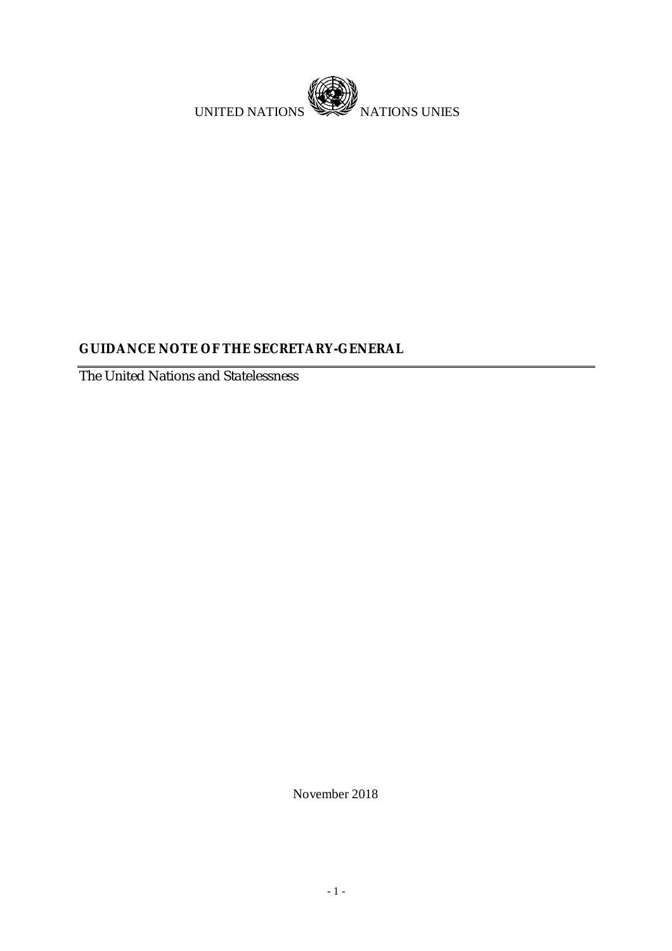

# **GUIDANCE NOTE OF THE SECRETARY-GENERAL**

The United Nations and Statelessness

November 2018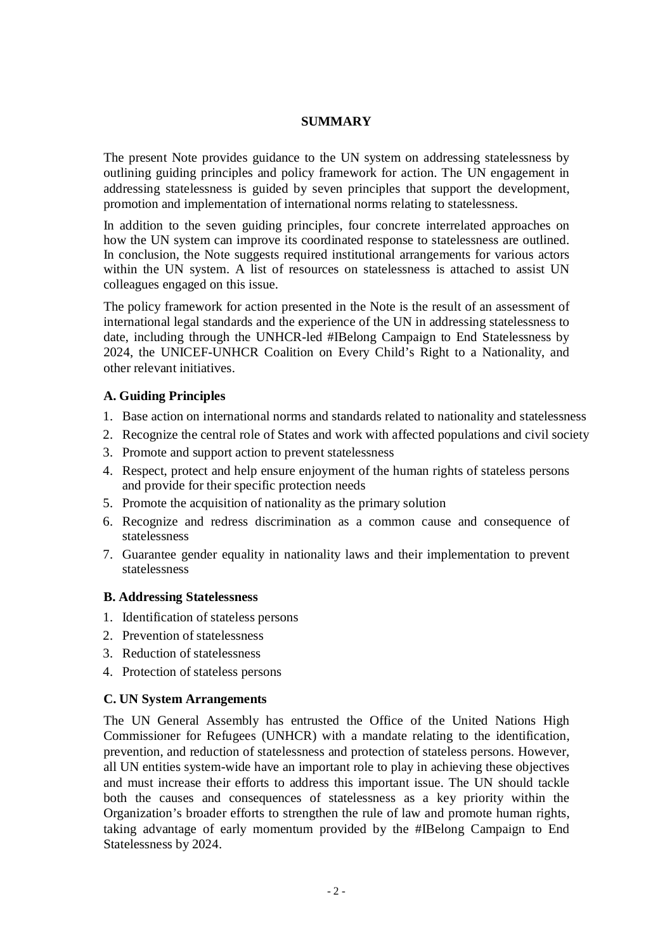#### **SUMMARY**

The present Note provides guidance to the UN system on addressing statelessness by outlining guiding principles and policy framework for action. The UN engagement in addressing statelessness is guided by seven principles that support the development, promotion and implementation of international norms relating to statelessness.

In addition to the seven guiding principles, four concrete interrelated approaches on how the UN system can improve its coordinated response to statelessness are outlined. In conclusion, the Note suggests required institutional arrangements for various actors within the UN system. A list of resources on statelessness is attached to assist UN colleagues engaged on this issue.

The policy framework for action presented in the Note is the result of an assessment of international legal standards and the experience of the UN in addressing statelessness to date, including through the UNHCR-led #IBelong Campaign to End Statelessness by 2024, the UNICEF-UNHCR Coalition on Every Child's Right to a Nationality, and other relevant initiatives.

### **A. Guiding Principles**

- 1. Base action on international norms and standards related to nationality and statelessness
- 2. Recognize the central role of States and work with affected populations and civil society
- 3. Promote and support action to prevent statelessness
- 4. Respect, protect and help ensure enjoyment of the human rights of stateless persons and provide for their specific protection needs
- 5. Promote the acquisition of nationality as the primary solution
- 6. Recognize and redress discrimination as a common cause and consequence of statelessness
- 7. Guarantee gender equality in nationality laws and their implementation to prevent statelessness

### **B. Addressing Statelessness**

- 1. Identification of stateless persons
- 2. Prevention of statelessness
- 3. Reduction of statelessness
- 4. Protection of stateless persons

### **C. UN System Arrangements**

The UN General Assembly has entrusted the Office of the United Nations High Commissioner for Refugees (UNHCR) with a mandate relating to the identification, prevention, and reduction of statelessness and protection of stateless persons. However, all UN entities system-wide have an important role to play in achieving these objectives and must increase their efforts to address this important issue. The UN should tackle both the causes and consequences of statelessness as a key priority within the Organization's broader efforts to strengthen the rule of law and promote human rights, taking advantage of early momentum provided by the #IBelong Campaign to End Statelessness by 2024.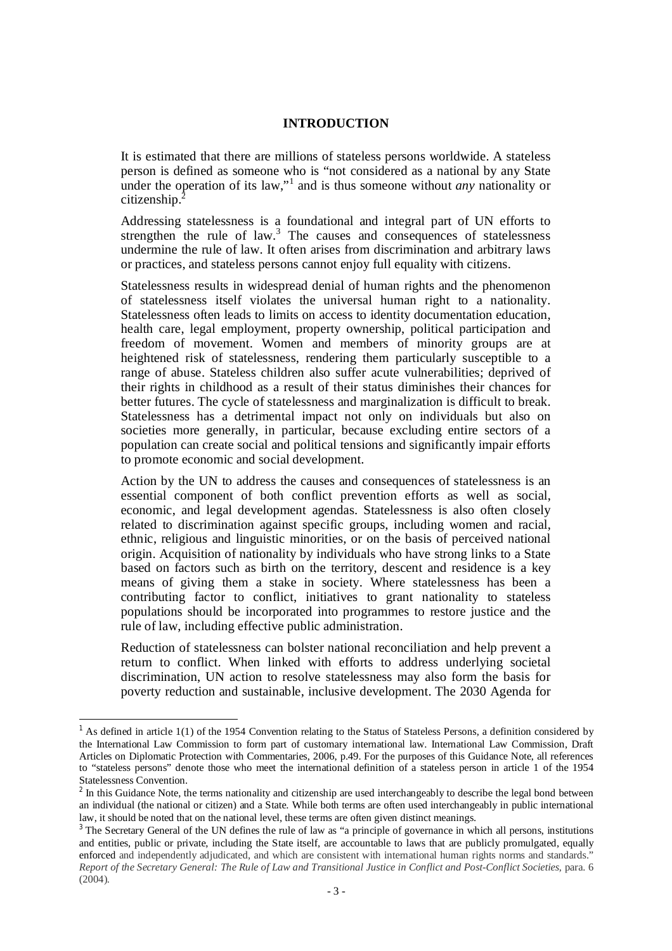#### **INTRODUCTION**

It is estimated that there are millions of stateless persons worldwide. A stateless person is defined as someone who is "not considered as a national by any State under the operation of its law,"<sup>1</sup> and is thus someone without *any* nationality or citizenship.<sup>2</sup>

Addressing statelessness is a foundational and integral part of UN efforts to strengthen the rule of law.<sup>3</sup> The causes and consequences of statelessness undermine the rule of law. It often arises from discrimination and arbitrary laws or practices, and stateless persons cannot enjoy full equality with citizens.

Statelessness results in widespread denial of human rights and the phenomenon of statelessness itself violates the universal human right to a nationality. Statelessness often leads to limits on access to identity documentation education, health care, legal employment, property ownership, political participation and freedom of movement. Women and members of minority groups are at heightened risk of statelessness, rendering them particularly susceptible to a range of abuse. Stateless children also suffer acute vulnerabilities; deprived of their rights in childhood as a result of their status diminishes their chances for better futures. The cycle of statelessness and marginalization is difficult to break. Statelessness has a detrimental impact not only on individuals but also on societies more generally, in particular, because excluding entire sectors of a population can create social and political tensions and significantly impair efforts to promote economic and social development.

Action by the UN to address the causes and consequences of statelessness is an essential component of both conflict prevention efforts as well as social, economic, and legal development agendas. Statelessness is also often closely related to discrimination against specific groups, including women and racial, ethnic, religious and linguistic minorities, or on the basis of perceived national origin. Acquisition of nationality by individuals who have strong links to a State based on factors such as birth on the territory, descent and residence is a key means of giving them a stake in society. Where statelessness has been a contributing factor to conflict, initiatives to grant nationality to stateless populations should be incorporated into programmes to restore justice and the rule of law, including effective public administration.

Reduction of statelessness can bolster national reconciliation and help prevent a return to conflict. When linked with efforts to address underlying societal discrimination, UN action to resolve statelessness may also form the basis for poverty reduction and sustainable, inclusive development. The 2030 Agenda for

<sup>&</sup>lt;sup>1</sup> As defined in article  $1(1)$  of the 1954 Convention relating to the Status of Stateless Persons, a definition considered by the International Law Commission to form part of customary international law. International Law Commission, Draft Articles on Diplomatic Protection with Commentaries, 2006, p.49. For the purposes of this Guidance Note, all references to "stateless persons" denote those who meet the international definition of a stateless person in article 1 of the 1954 Statelessness Convention.

 $2$  In this Guidance Note, the terms nationality and citizenship are used interchangeably to describe the legal bond between an individual (the national or citizen) and a State. While both terms are often used interchangeably in public international law, it should be noted that on the national level, these terms are often given distinct meanings.

<sup>&</sup>lt;sup>3</sup> The Secretary General of the UN defines the rule of law as "a principle of governance in which all persons, institutions and entities, public or private, including the State itself, are accountable to laws that are publicly promulgated, equally enforced and independently adjudicated, and which are consistent with international human rights norms and standards." *Report of the Secretary General: The Rule of Law and Transitional Justice in Conflict and Post-Conflict Societies,* para. 6 (2004).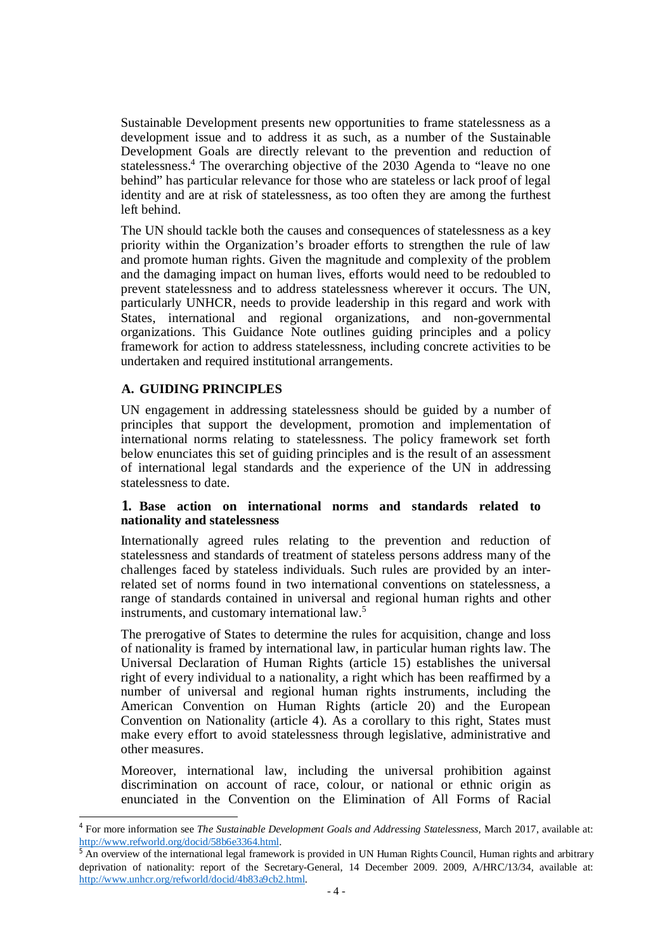Sustainable Development presents new opportunities to frame statelessness as a development issue and to address it as such, as a number of the Sustainable Development Goals are directly relevant to the prevention and reduction of statelessness.<sup>4</sup> The overarching objective of the 2030 Agenda to "leave no one behind" has particular relevance for those who are stateless or lack proof of legal identity and are at risk of statelessness, as too often they are among the furthest left behind.

The UN should tackle both the causes and consequences of statelessness as a key priority within the Organization's broader efforts to strengthen the rule of law and promote human rights. Given the magnitude and complexity of the problem and the damaging impact on human lives, efforts would need to be redoubled to prevent statelessness and to address statelessness wherever it occurs. The UN, particularly UNHCR, needs to provide leadership in this regard and work with States, international and regional organizations, and non-governmental organizations. This Guidance Note outlines guiding principles and a policy framework for action to address statelessness, including concrete activities to be undertaken and required institutional arrangements.

### **A. GUIDING PRINCIPLES**

1

UN engagement in addressing statelessness should be guided by a number of principles that support the development, promotion and implementation of international norms relating to statelessness. The policy framework set forth below enunciates this set of guiding principles and is the result of an assessment of international legal standards and the experience of the UN in addressing statelessness to date.

#### **1. Base action on international norms and standards related to nationality and statelessness**

Internationally agreed rules relating to the prevention and reduction of statelessness and standards of treatment of stateless persons address many of the challenges faced by stateless individuals. Such rules are provided by an interrelated set of norms found in two international conventions on statelessness, a range of standards contained in universal and regional human rights and other instruments, and customary international law.<sup>5</sup>

The prerogative of States to determine the rules for acquisition, change and loss of nationality is framed by international law, in particular human rights law. The Universal Declaration of Human Rights (article 15) establishes the universal right of every individual to a nationality, a right which has been reaffirmed by a number of universal and regional human rights instruments, including the American Convention on Human Rights (article 20) and the European Convention on Nationality (article 4). As a corollary to this right, States must make every effort to avoid statelessness through legislative, administrative and other measures.

Moreover, international law, including the universal prohibition against discrimination on account of race, colour, or national or ethnic origin as enunciated in the Convention on the Elimination of All Forms of Racial

<sup>4</sup> For more information see *The Sustainable Development Goals and Addressing Statelessness*, March 2017, available at: <http://www.refworld.org/docid/58b6e3364.html.>

<sup>&</sup>lt;sup>5</sup> An overview of the international legal framework is provided in UN Human Rights Council, Human rights and arbitrary deprivation of nationality: report of the Secretary-General, 14 December 2009. 2009, A/HRC/13/34, available at: <http://www.unhcr.org/refworld/docid/4b83a9cb2.html.>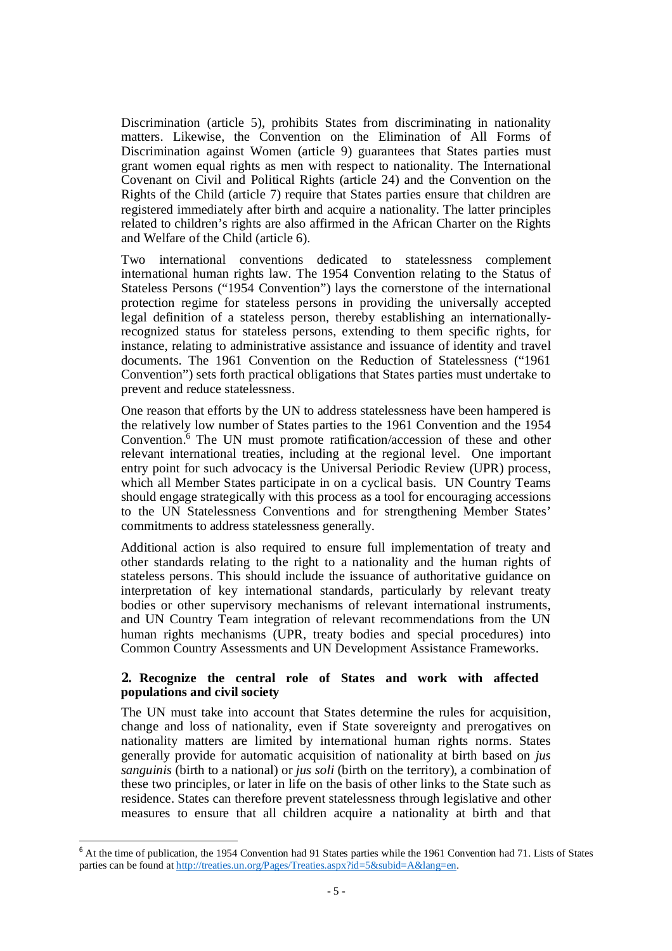Discrimination (article 5), prohibits States from discriminating in nationality matters. Likewise, the Convention on the Elimination of All Forms of Discrimination against Women (article 9) guarantees that States parties must grant women equal rights as men with respect to nationality. The International Covenant on Civil and Political Rights (article 24) and the Convention on the Rights of the Child (article 7) require that States parties ensure that children are registered immediately after birth and acquire a nationality. The latter principles related to children's rights are also affirmed in the African Charter on the Rights and Welfare of the Child (article 6).

Two international conventions dedicated to statelessness complement international human rights law. The 1954 Convention relating to the Status of Stateless Persons ("1954 Convention") lays the cornerstone of the international protection regime for stateless persons in providing the universally accepted legal definition of a stateless person, thereby establishing an internationallyrecognized status for stateless persons, extending to them specific rights, for instance, relating to administrative assistance and issuance of identity and travel documents. The 1961 Convention on the Reduction of Statelessness ("1961 Convention") sets forth practical obligations that States parties must undertake to prevent and reduce statelessness.

One reason that efforts by the UN to address statelessness have been hampered is the relatively low number of States parties to the 1961 Convention and the 1954 Convention.<sup>6</sup> The UN must promote ratification/accession of these and other relevant international treaties, including at the regional level. One important entry point for such advocacy is the Universal Periodic Review (UPR) process, which all Member States participate in on a cyclical basis. UN Country Teams should engage strategically with this process as a tool for encouraging accessions to the UN Statelessness Conventions and for strengthening Member States' commitments to address statelessness generally.

Additional action is also required to ensure full implementation of treaty and other standards relating to the right to a nationality and the human rights of stateless persons. This should include the issuance of authoritative guidance on interpretation of key international standards, particularly by relevant treaty bodies or other supervisory mechanisms of relevant international instruments, and UN Country Team integration of relevant recommendations from the UN human rights mechanisms (UPR, treaty bodies and special procedures) into Common Country Assessments and UN Development Assistance Frameworks.

#### **2. Recognize the central role of States and work with affected populations and civil society**

The UN must take into account that States determine the rules for acquisition, change and loss of nationality, even if State sovereignty and prerogatives on nationality matters are limited by international human rights norms. States generally provide for automatic acquisition of nationality at birth based on *jus sanguinis* (birth to a national) or *jus soli* (birth on the territory), a combination of these two principles, or later in life on the basis of other links to the State such as residence. States can therefore prevent statelessness through legislative and other measures to ensure that all children acquire a nationality at birth and that

<sup>6</sup> At the time of publication, the 1954 Convention had 91 States parties while the 1961 Convention had 71. Lists of States parties can be found at<http://treaties.un.org/Pages/Treaties.aspx?id=5&subid=A&lang=en.>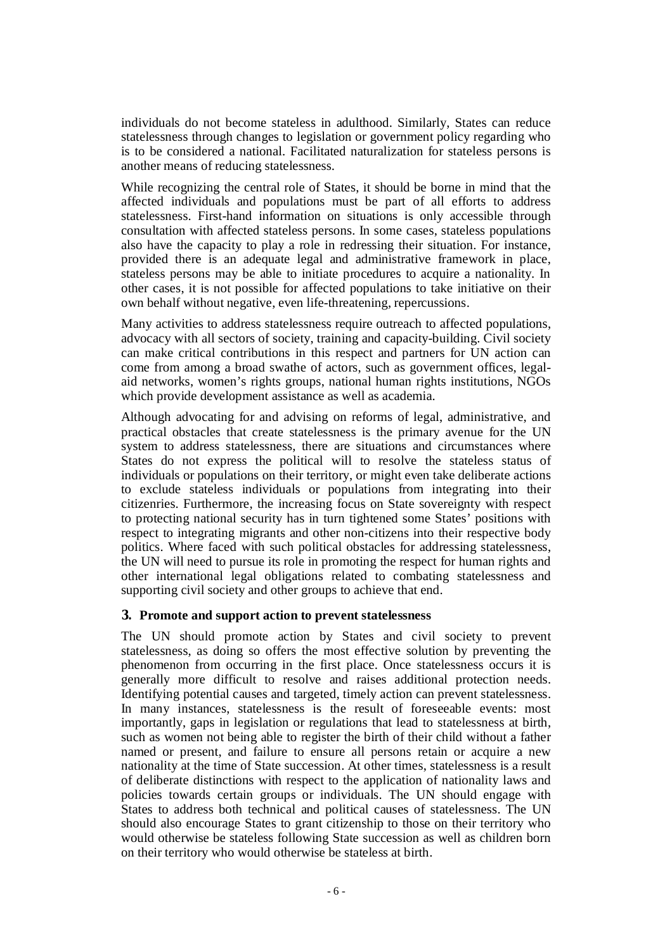individuals do not become stateless in adulthood. Similarly, States can reduce statelessness through changes to legislation or government policy regarding who is to be considered a national. Facilitated naturalization for stateless persons is another means of reducing statelessness.

While recognizing the central role of States, it should be borne in mind that the affected individuals and populations must be part of all efforts to address statelessness. First-hand information on situations is only accessible through consultation with affected stateless persons. In some cases, stateless populations also have the capacity to play a role in redressing their situation. For instance, provided there is an adequate legal and administrative framework in place, stateless persons may be able to initiate procedures to acquire a nationality. In other cases, it is not possible for affected populations to take initiative on their own behalf without negative, even life-threatening, repercussions.

Many activities to address statelessness require outreach to affected populations, advocacy with all sectors of society, training and capacity-building. Civil society can make critical contributions in this respect and partners for UN action can come from among a broad swathe of actors, such as government offices, legalaid networks, women's rights groups, national human rights institutions, NGOs which provide development assistance as well as academia.

Although advocating for and advising on reforms of legal, administrative, and practical obstacles that create statelessness is the primary avenue for the UN system to address statelessness, there are situations and circumstances where States do not express the political will to resolve the stateless status of individuals or populations on their territory, or might even take deliberate actions to exclude stateless individuals or populations from integrating into their citizenries. Furthermore, the increasing focus on State sovereignty with respect to protecting national security has in turn tightened some States' positions with respect to integrating migrants and other non-citizens into their respective body politics. Where faced with such political obstacles for addressing statelessness, the UN will need to pursue its role in promoting the respect for human rights and other international legal obligations related to combating statelessness and supporting civil society and other groups to achieve that end.

### **3. Promote and support action to prevent statelessness**

The UN should promote action by States and civil society to prevent statelessness, as doing so offers the most effective solution by preventing the phenomenon from occurring in the first place. Once statelessness occurs it is generally more difficult to resolve and raises additional protection needs. Identifying potential causes and targeted, timely action can prevent statelessness. In many instances, statelessness is the result of foreseeable events: most importantly, gaps in legislation or regulations that lead to statelessness at birth, such as women not being able to register the birth of their child without a father named or present, and failure to ensure all persons retain or acquire a new nationality at the time of State succession. At other times, statelessness is a result of deliberate distinctions with respect to the application of nationality laws and policies towards certain groups or individuals. The UN should engage with States to address both technical and political causes of statelessness. The UN should also encourage States to grant citizenship to those on their territory who would otherwise be stateless following State succession as well as children born on their territory who would otherwise be stateless at birth.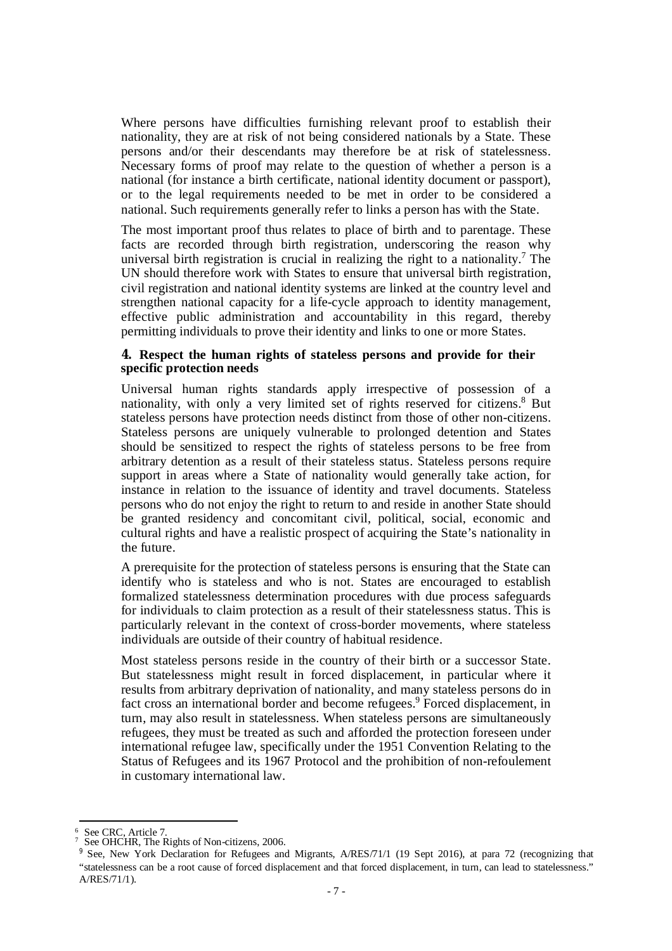Where persons have difficulties furnishing relevant proof to establish their nationality, they are at risk of not being considered nationals by a State. These persons and/or their descendants may therefore be at risk of statelessness. Necessary forms of proof may relate to the question of whether a person is a national (for instance a birth certificate, national identity document or passport), or to the legal requirements needed to be met in order to be considered a national. Such requirements generally refer to links a person has with the State.

The most important proof thus relates to place of birth and to parentage. These facts are recorded through birth registration, underscoring the reason why universal birth registration is crucial in realizing the right to a nationality.<sup>7</sup> The UN should therefore work with States to ensure that universal birth registration, civil registration and national identity systems are linked at the country level and strengthen national capacity for a life-cycle approach to identity management, effective public administration and accountability in this regard, thereby permitting individuals to prove their identity and links to one or more States.

#### **4. Respect the human rights of stateless persons and provide for their specific protection needs**

Universal human rights standards apply irrespective of possession of a nationality, with only a very limited set of rights reserved for citizens.<sup>8</sup> But stateless persons have protection needs distinct from those of other non-citizens. Stateless persons are uniquely vulnerable to prolonged detention and States should be sensitized to respect the rights of stateless persons to be free from arbitrary detention as a result of their stateless status. Stateless persons require support in areas where a State of nationality would generally take action, for instance in relation to the issuance of identity and travel documents. Stateless persons who do not enjoy the right to return to and reside in another State should be granted residency and concomitant civil, political, social, economic and cultural rights and have a realistic prospect of acquiring the State's nationality in the future.

A prerequisite for the protection of stateless persons is ensuring that the State can identify who is stateless and who is not. States are encouraged to establish formalized statelessness determination procedures with due process safeguards for individuals to claim protection as a result of their statelessness status. This is particularly relevant in the context of cross-border movements, where stateless individuals are outside of their country of habitual residence.

Most stateless persons reside in the country of their birth or a successor State. But statelessness might result in forced displacement, in particular where it results from arbitrary deprivation of nationality, and many stateless persons do in fact cross an international border and become refugees.<sup>9</sup> Forced displacement, in turn, may also result in statelessness. When stateless persons are simultaneously refugees, they must be treated as such and afforded the protection foreseen under international refugee law, specifically under the 1951 Convention Relating to the Status of Refugees and its 1967 Protocol and the prohibition of non-refoulement in customary international law.

**.** 

 $<sup>6</sup>$  See CRC, Article 7.</sup>

<sup>7</sup> See OHCHR, The Rights of Non-citizens, 2006.

<sup>&</sup>lt;sup>9</sup> See, New York Declaration for Refugees and Migrants, A/RES/71/1 (19 Sept 2016), at para 72 (recognizing that "statelessness can be a root cause of forced displacement and that forced displacement, in turn, can lead to statelessness." A/RES/71/1).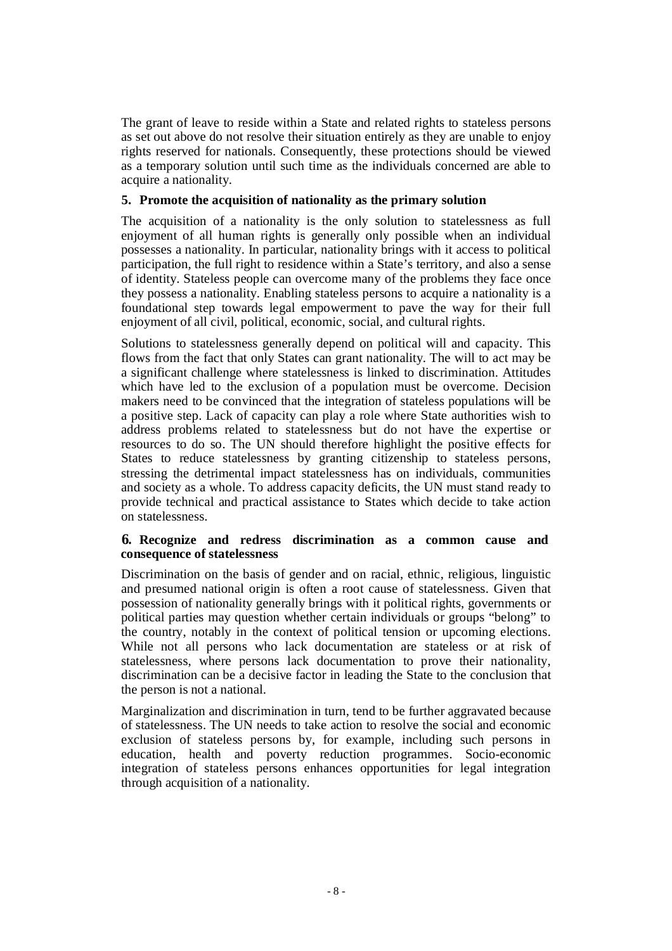The grant of leave to reside within a State and related rights to stateless persons as set out above do not resolve their situation entirely as they are unable to enjoy rights reserved for nationals. Consequently, these protections should be viewed as a temporary solution until such time as the individuals concerned are able to acquire a nationality.

### **5. Promote the acquisition of nationality as the primary solution**

The acquisition of a nationality is the only solution to statelessness as full enjoyment of all human rights is generally only possible when an individual possesses a nationality. In particular, nationality brings with it access to political participation, the full right to residence within a State's territory, and also a sense of identity. Stateless people can overcome many of the problems they face once they possess a nationality. Enabling stateless persons to acquire a nationality is a foundational step towards legal empowerment to pave the way for their full enjoyment of all civil, political, economic, social, and cultural rights.

Solutions to statelessness generally depend on political will and capacity. This flows from the fact that only States can grant nationality. The will to act may be a significant challenge where statelessness is linked to discrimination. Attitudes which have led to the exclusion of a population must be overcome. Decision makers need to be convinced that the integration of stateless populations will be a positive step. Lack of capacity can play a role where State authorities wish to address problems related to statelessness but do not have the expertise or resources to do so. The UN should therefore highlight the positive effects for States to reduce statelessness by granting citizenship to stateless persons, stressing the detrimental impact statelessness has on individuals, communities and society as a whole. To address capacity deficits, the UN must stand ready to provide technical and practical assistance to States which decide to take action on statelessness.

#### **6. Recognize and redress discrimination as a common cause and consequence of statelessness**

Discrimination on the basis of gender and on racial, ethnic, religious, linguistic and presumed national origin is often a root cause of statelessness. Given that possession of nationality generally brings with it political rights, governments or political parties may question whether certain individuals or groups "belong" to the country, notably in the context of political tension or upcoming elections. While not all persons who lack documentation are stateless or at risk of statelessness, where persons lack documentation to prove their nationality, discrimination can be a decisive factor in leading the State to the conclusion that the person is not a national.

Marginalization and discrimination in turn, tend to be further aggravated because of statelessness. The UN needs to take action to resolve the social and economic exclusion of stateless persons by, for example, including such persons in education, health and poverty reduction programmes. Socio-economic integration of stateless persons enhances opportunities for legal integration through acquisition of a nationality.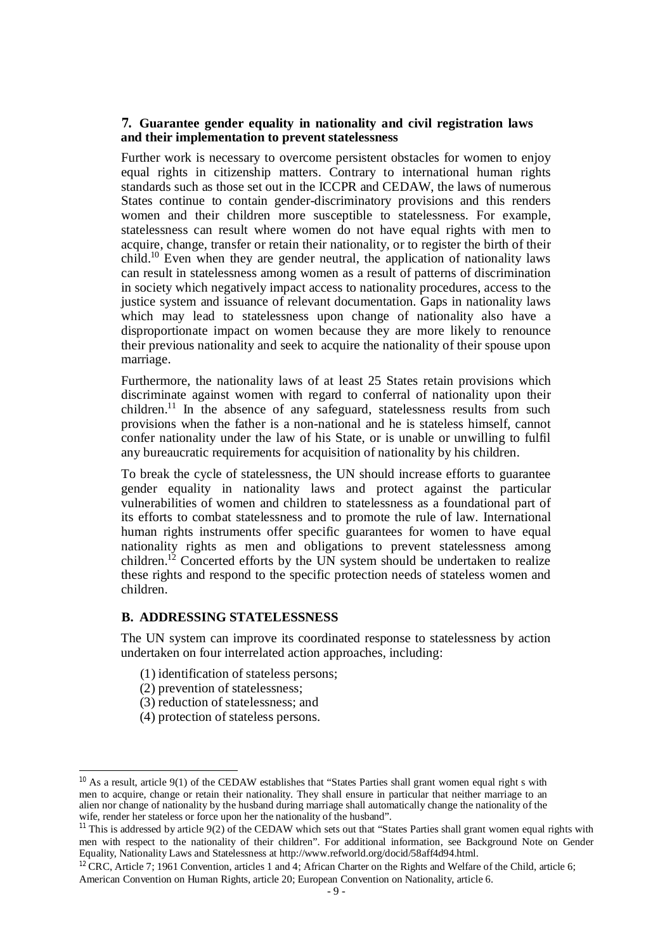#### **7. Guarantee gender equality in nationality and civil registration laws and their implementation to prevent statelessness**

Further work is necessary to overcome persistent obstacles for women to enjoy equal rights in citizenship matters. Contrary to international human rights standards such as those set out in the ICCPR and CEDAW, the laws of numerous States continue to contain gender-discriminatory provisions and this renders women and their children more susceptible to statelessness. For example, statelessness can result where women do not have equal rights with men to acquire, change, transfer or retain their nationality, or to register the birth of their child. <sup>10</sup> Even when they are gender neutral, the application of nationality laws can result in statelessness among women as a result of patterns of discrimination in society which negatively impact access to nationality procedures, access to the justice system and issuance of relevant documentation. Gaps in nationality laws which may lead to statelessness upon change of nationality also have a disproportionate impact on women because they are more likely to renounce their previous nationality and seek to acquire the nationality of their spouse upon marriage.

Furthermore, the nationality laws of at least 25 States retain provisions which discriminate against women with regard to conferral of nationality upon their children.<sup>11</sup> In the absence of any safeguard, statelessness results from such provisions when the father is a non-national and he is stateless himself, cannot confer nationality under the law of his State, or is unable or unwilling to fulfil any bureaucratic requirements for acquisition of nationality by his children.

To break the cycle of statelessness, the UN should increase efforts to guarantee gender equality in nationality laws and protect against the particular vulnerabilities of women and children to statelessness as a foundational part of its efforts to combat statelessness and to promote the rule of law. International human rights instruments offer specific guarantees for women to have equal nationality rights as men and obligations to prevent statelessness among children.<sup>12</sup> Concerted efforts by the UN system should be undertaken to realize these rights and respond to the specific protection needs of stateless women and children.

#### **B. ADDRESSING STATELESSNESS**

The UN system can improve its coordinated response to statelessness by action undertaken on four interrelated action approaches, including:

- (1) identification of stateless persons;
- (2) prevention of statelessness;
- (3) reduction of statelessness; and
- (4) protection of stateless persons.

<sup>&</sup>lt;sup>10</sup> As a result, article 9(1) of the CEDAW establishes that "States Parties shall grant women equal right s with men to acquire, change or retain their nationality. They shall ensure in particular that neither marriage to an alien nor change of nationality by the husband during marriage shall automatically change the nationality of the wife, render her stateless or force upon her the nationality of the husband".

<sup>&</sup>lt;sup>11</sup> This is addressed by article 9(2) of the CEDAW which sets out that "States Parties shall grant women equal rights with men with respect to the nationality of their children". For additional information, see Background Note on Gender Equality, Nationality Laws and Statelessness at<http://www.refworld.org/docid/58aff4d94.html.>

<sup>&</sup>lt;sup>12</sup> CRC, Article 7: 1961 Convention, articles 1 and 4; African Charter on the Rights and Welfare of the Child, article 6; American Convention on Human Rights, article 20; European Convention on Nationality, article 6.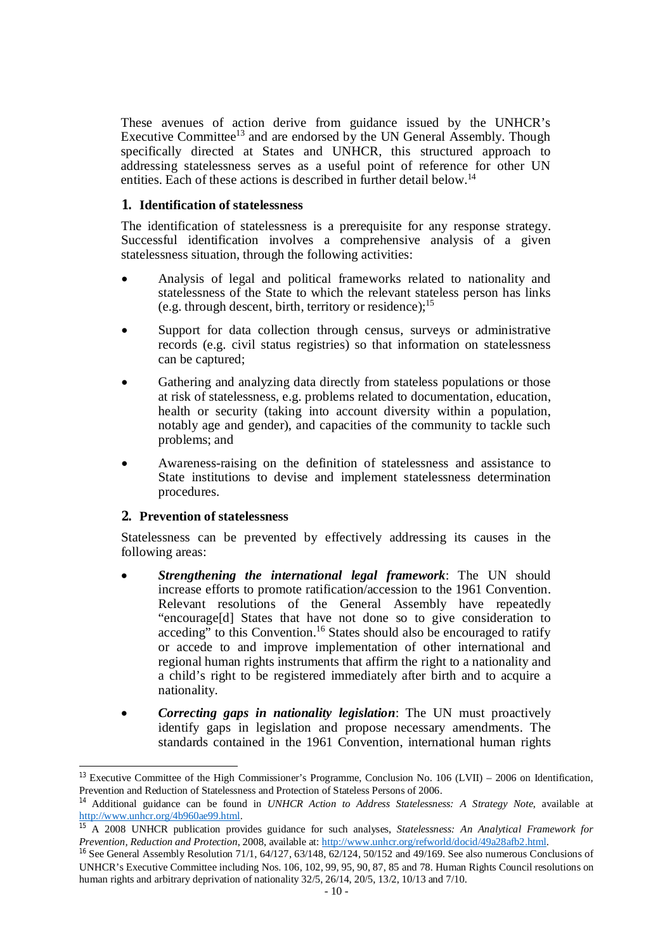These avenues of action derive from guidance issued by the UNHCR's Executive Committee<sup>13</sup> and are endorsed by the UN General Assembly. Though specifically directed at States and UNHCR, this structured approach to addressing statelessness serves as a useful point of reference for other UN entities. Each of these actions is described in further detail below.<sup>14</sup>

#### **1. Identification of statelessness**

The identification of statelessness is a prerequisite for any response strategy. Successful identification involves a comprehensive analysis of a given statelessness situation, through the following activities:

- Analysis of legal and political frameworks related to nationality and statelessness of the State to which the relevant stateless person has links (e.g. through descent, birth, territory or residence);<sup>15</sup>
- Support for data collection through census, surveys or administrative records (e.g. civil status registries) so that information on statelessness can be captured;
- Gathering and analyzing data directly from stateless populations or those at risk of statelessness, e.g. problems related to documentation, education, health or security (taking into account diversity within a population, notably age and gender), and capacities of the community to tackle such problems; and
- Awareness-raising on the definition of statelessness and assistance to State institutions to devise and implement statelessness determination procedures.

#### **2. Prevention of statelessness**

1

Statelessness can be prevented by effectively addressing its causes in the following areas:

- *Strengthening the international legal framework*: The UN should increase efforts to promote ratification/accession to the 1961 Convention. Relevant resolutions of the General Assembly have repeatedly "encourage[d] States that have not done so to give consideration to acceding" to this Convention.<sup>16</sup> States should also be encouraged to ratify or accede to and improve implementation of other international and regional human rights instruments that affirm the right to a nationality and a child's right to be registered immediately after birth and to acquire a nationality.
- *Correcting gaps in nationality legislation*: The UN must proactively identify gaps in legislation and propose necessary amendments. The standards contained in the 1961 Convention, international human rights

<sup>&</sup>lt;sup>13</sup> Executive Committee of the High Commissioner's Programme, Conclusion No. 106 (LVII) – 2006 on Identification, Prevention and Reduction of Statelessness and Protection of Stateless Persons of 2006.

<sup>14</sup> Additional guidance can be found in *UNHCR Action to Address Statelessness: A Strategy Note*, available at <http://www.unhcr.org/4b960ae99.html.>

<sup>15</sup> A 2008 UNHCR publication provides guidance for such analyses, *Statelessness: An Analytical Framework for Prevention, Reduction and Protection*, 2008, available at:<http://www.unhcr.org/refworld/docid/49a28afb2.html.>

<sup>&</sup>lt;sup>16</sup> See General Assembly Resolution 71/1, 64/127, 63/148, 62/124, 50/152 and 49/169. See also numerous Conclusions of UNHCR's Executive Committee including Nos. 106, 102, 99, 95, 90, 87, 85 and 78. Human Rights Council resolutions on human rights and arbitrary deprivation of nationality 32/5, 26/14, 20/5, 13/2, 10/13 and 7/10.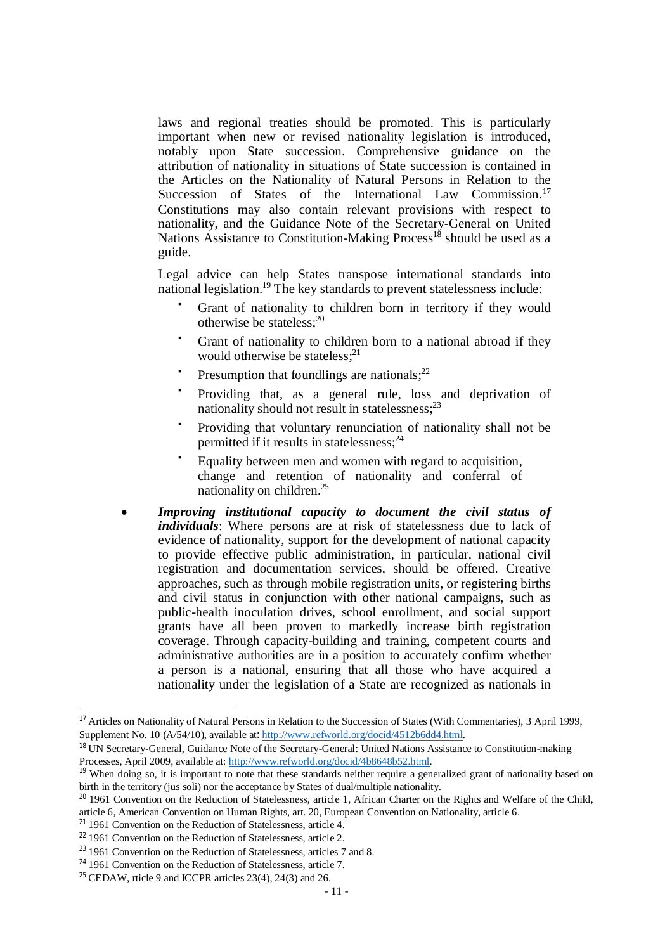laws and regional treaties should be promoted. This is particularly important when new or revised nationality legislation is introduced, notably upon State succession. Comprehensive guidance on the attribution of nationality in situations of State succession is contained in the Articles on the Nationality of Natural Persons in Relation to the Succession of States of the International Law Commission.<sup>17</sup> Constitutions may also contain relevant provisions with respect to nationality, and the Guidance Note of the Secretary-General on United Nations Assistance to Constitution-Making  $Process<sup>18</sup>$  should be used as a guide.

Legal advice can help States transpose international standards into national legislation.<sup>19</sup> The key standards to prevent statelessness include:

- Grant of nationality to children born in territory if they would otherwise be stateless;<sup>20</sup>
- Grant of nationality to children born to a national abroad if they would otherwise be stateless; $2<sup>1</sup>$
- Presumption that foundlings are nationals; $^{22}$
- Providing that, as a general rule, loss and deprivation of nationality should not result in statelessness;<sup>23</sup>
- Providing that voluntary renunciation of nationality shall not be permitted if it results in statelessness;<sup>24</sup>
- Equality between men and women with regard to acquisition, change and retention of nationality and conferral of nationality on children.<sup>25</sup>
- *Improving institutional capacity to document the civil status of individuals*: Where persons are at risk of statelessness due to lack of evidence of nationality, support for the development of national capacity to provide effective public administration, in particular, national civil registration and documentation services, should be offered. Creative approaches, such as through mobile registration units, or registering births and civil status in conjunction with other national campaigns, such as public-health inoculation drives, school enrollment, and social support grants have all been proven to markedly increase birth registration coverage. Through capacity-building and training, competent courts and administrative authorities are in a position to accurately confirm whether a person is a national, ensuring that all those who have acquired a nationality under the legislation of a State are recognized as nationals in

<sup>&</sup>lt;sup>17</sup> Articles on Nationality of Natural Persons in Relation to the Succession of States (With Commentaries), 3 April 1999, Supplement No. 10 (A/54/10), available at: <http://www.refworld.org/docid/4512b6dd4.html.>

<sup>&</sup>lt;sup>18</sup> UN Secretary-General, Guidance Note of the Secretary-General: United Nations Assistance to Constitution-making Processes, April 2009, available at: <http://www.refworld.org/docid/4b8648b52.html.>

<sup>&</sup>lt;sup>19</sup> When doing so, it is important to note that these standards neither require a generalized grant of nationality based on birth in the territory (jus soli) nor the acceptance by States of dual/multiple nationality.

<sup>&</sup>lt;sup>20</sup> 1961 Convention on the Reduction of Statelessness, article 1, African Charter on the Rights and Welfare of the Child, article 6, American Convention on Human Rights, art. 20, European Convention on Nationality, article 6.

<sup>&</sup>lt;sup>21</sup> 1961 Convention on the Reduction of Statelessness, article 4.

<sup>&</sup>lt;sup>22</sup> 1961 Convention on the Reduction of Statelessness, article 2.

<sup>&</sup>lt;sup>23</sup> 1961 Convention on the Reduction of Statelessness, articles 7 and 8.

<sup>&</sup>lt;sup>24</sup> 1961 Convention on the Reduction of Statelessness, article 7.

<sup>&</sup>lt;sup>25</sup> CEDAW, rticle 9 and ICCPR articles  $23(4)$ ,  $24(3)$  and  $26$ .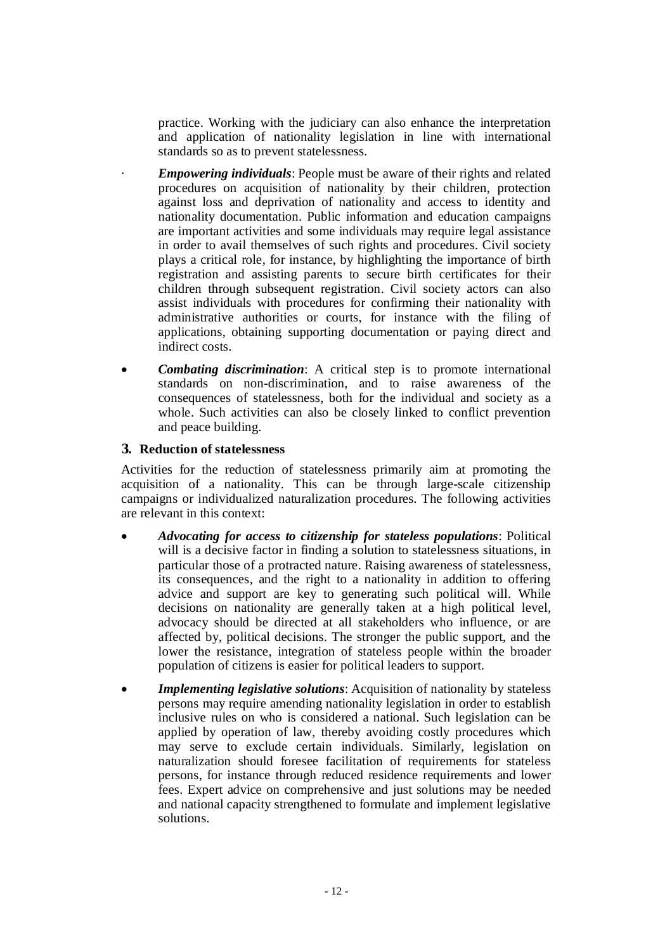practice. Working with the judiciary can also enhance the interpretation and application of nationality legislation in line with international standards so as to prevent statelessness.

- *Empowering individuals*: People must be aware of their rights and related procedures on acquisition of nationality by their children, protection against loss and deprivation of nationality and access to identity and nationality documentation. Public information and education campaigns are important activities and some individuals may require legal assistance in order to avail themselves of such rights and procedures. Civil society plays a critical role, for instance, by highlighting the importance of birth registration and assisting parents to secure birth certificates for their children through subsequent registration. Civil society actors can also assist individuals with procedures for confirming their nationality with administrative authorities or courts, for instance with the filing of applications, obtaining supporting documentation or paying direct and indirect costs.
- *Combating discrimination*: A critical step is to promote international standards on non-discrimination, and to raise awareness of the consequences of statelessness, both for the individual and society as a whole. Such activities can also be closely linked to conflict prevention and peace building.

### **3. Reduction of statelessness**

Activities for the reduction of statelessness primarily aim at promoting the acquisition of a nationality. This can be through large-scale citizenship campaigns or individualized naturalization procedures. The following activities are relevant in this context:

- *Advocating for access to citizenship for stateless populations*: Political will is a decisive factor in finding a solution to statelessness situations, in particular those of a protracted nature. Raising awareness of statelessness, its consequences, and the right to a nationality in addition to offering advice and support are key to generating such political will. While decisions on nationality are generally taken at a high political level, advocacy should be directed at all stakeholders who influence, or are affected by, political decisions. The stronger the public support, and the lower the resistance, integration of stateless people within the broader population of citizens is easier for political leaders to support.
- *Implementing legislative solutions*: Acquisition of nationality by stateless persons may require amending nationality legislation in order to establish inclusive rules on who is considered a national. Such legislation can be applied by operation of law, thereby avoiding costly procedures which may serve to exclude certain individuals. Similarly, legislation on naturalization should foresee facilitation of requirements for stateless persons, for instance through reduced residence requirements and lower fees. Expert advice on comprehensive and just solutions may be needed and national capacity strengthened to formulate and implement legislative solutions.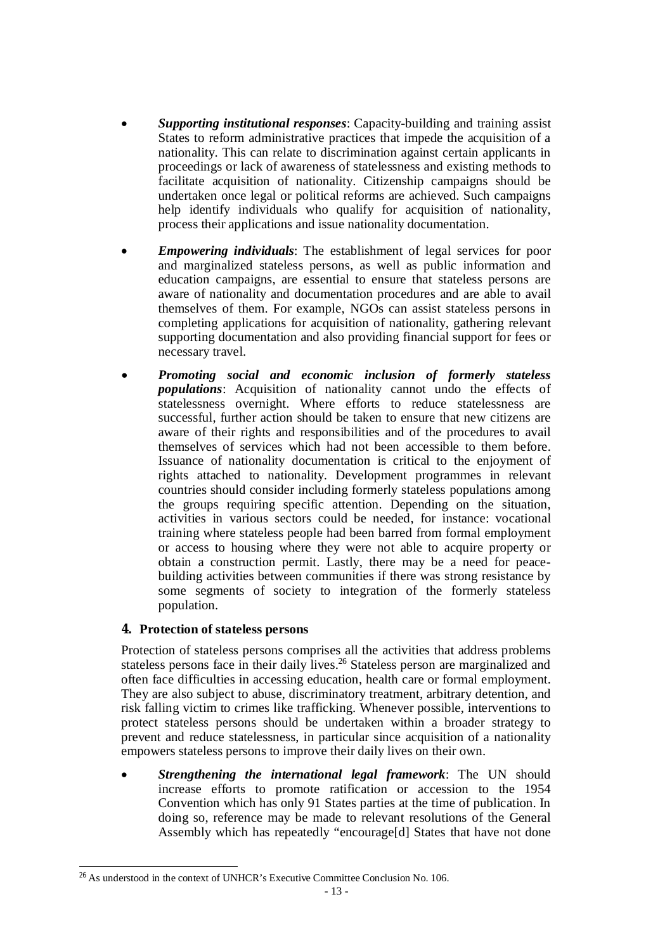- *Supporting institutional responses*: Capacity-building and training assist States to reform administrative practices that impede the acquisition of a nationality. This can relate to discrimination against certain applicants in proceedings or lack of awareness of statelessness and existing methods to facilitate acquisition of nationality. Citizenship campaigns should be undertaken once legal or political reforms are achieved. Such campaigns help identify individuals who qualify for acquisition of nationality, process their applications and issue nationality documentation.
- *Empowering individuals*: The establishment of legal services for poor and marginalized stateless persons, as well as public information and education campaigns, are essential to ensure that stateless persons are aware of nationality and documentation procedures and are able to avail themselves of them. For example, NGOs can assist stateless persons in completing applications for acquisition of nationality, gathering relevant supporting documentation and also providing financial support for fees or necessary travel.
- *Promoting social and economic inclusion of formerly stateless populations*: Acquisition of nationality cannot undo the effects of statelessness overnight. Where efforts to reduce statelessness are successful, further action should be taken to ensure that new citizens are aware of their rights and responsibilities and of the procedures to avail themselves of services which had not been accessible to them before. Issuance of nationality documentation is critical to the enjoyment of rights attached to nationality. Development programmes in relevant countries should consider including formerly stateless populations among the groups requiring specific attention. Depending on the situation, activities in various sectors could be needed, for instance: vocational training where stateless people had been barred from formal employment or access to housing where they were not able to acquire property or obtain a construction permit. Lastly, there may be a need for peacebuilding activities between communities if there was strong resistance by some segments of society to integration of the formerly stateless population.

## **4. Protection of stateless persons**

1

Protection of stateless persons comprises all the activities that address problems stateless persons face in their daily lives.<sup>26</sup> Stateless person are marginalized and often face difficulties in accessing education, health care or formal employment. They are also subject to abuse, discriminatory treatment, arbitrary detention, and risk falling victim to crimes like trafficking. Whenever possible, interventions to protect stateless persons should be undertaken within a broader strategy to prevent and reduce statelessness, in particular since acquisition of a nationality empowers stateless persons to improve their daily lives on their own.

 *Strengthening the international legal framework*: The UN should increase efforts to promote ratification or accession to the 1954 Convention which has only 91 States parties at the time of publication. In doing so, reference may be made to relevant resolutions of the General Assembly which has repeatedly "encourage[d] States that have not done

 $^{26}$  As understood in the context of UNHCR's Executive Committee Conclusion No. 106.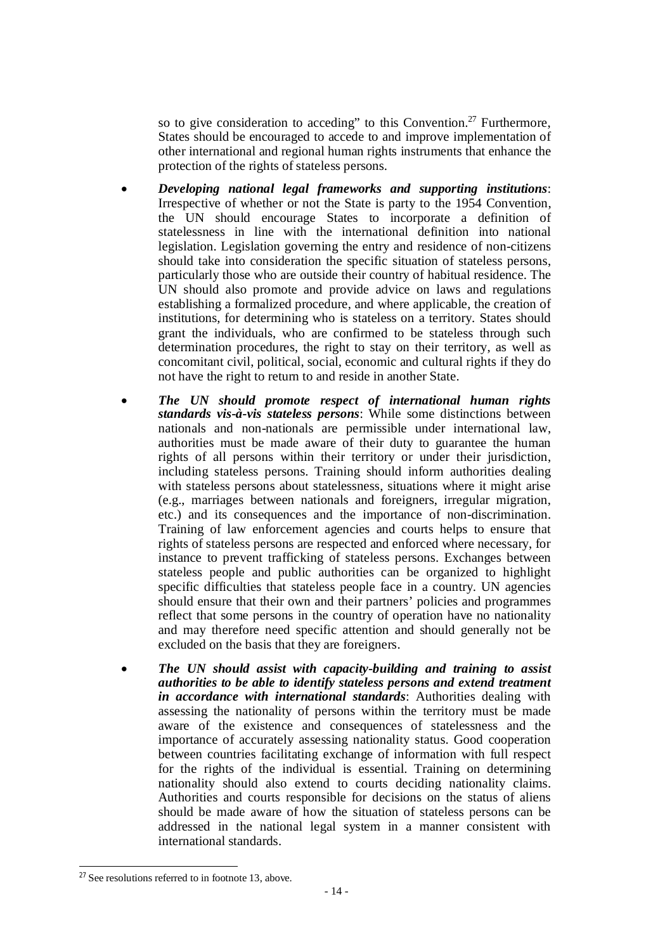so to give consideration to acceding" to this Convention.<sup>27</sup> Furthermore, States should be encouraged to accede to and improve implementation of other international and regional human rights instruments that enhance the protection of the rights of stateless persons.

- *Developing national legal frameworks and supporting institutions*: Irrespective of whether or not the State is party to the 1954 Convention, the UN should encourage States to incorporate a definition of statelessness in line with the international definition into national legislation. Legislation governing the entry and residence of non-citizens should take into consideration the specific situation of stateless persons, particularly those who are outside their country of habitual residence. The UN should also promote and provide advice on laws and regulations establishing a formalized procedure, and where applicable, the creation of institutions, for determining who is stateless on a territory. States should grant the individuals, who are confirmed to be stateless through such determination procedures, the right to stay on their territory, as well as concomitant civil, political, social, economic and cultural rights if they do not have the right to return to and reside in another State.
- *The UN should promote respect of international human rights standards vis-à-vis stateless persons*: While some distinctions between nationals and non-nationals are permissible under international law, authorities must be made aware of their duty to guarantee the human rights of all persons within their territory or under their jurisdiction, including stateless persons. Training should inform authorities dealing with stateless persons about statelessness, situations where it might arise (e.g., marriages between nationals and foreigners, irregular migration, etc.) and its consequences and the importance of non-discrimination. Training of law enforcement agencies and courts helps to ensure that rights of stateless persons are respected and enforced where necessary, for instance to prevent trafficking of stateless persons. Exchanges between stateless people and public authorities can be organized to highlight specific difficulties that stateless people face in a country. UN agencies should ensure that their own and their partners' policies and programmes reflect that some persons in the country of operation have no nationality and may therefore need specific attention and should generally not be excluded on the basis that they are foreigners.
- *The UN should assist with capacity-building and training to assist authorities to be able to identify stateless persons and extend treatment in accordance with international standards*: Authorities dealing with assessing the nationality of persons within the territory must be made aware of the existence and consequences of statelessness and the importance of accurately assessing nationality status. Good cooperation between countries facilitating exchange of information with full respect for the rights of the individual is essential. Training on determining nationality should also extend to courts deciding nationality claims. Authorities and courts responsible for decisions on the status of aliens should be made aware of how the situation of stateless persons can be addressed in the national legal system in a manner consistent with international standards.

 $27$  See resolutions referred to in footnote 13, above.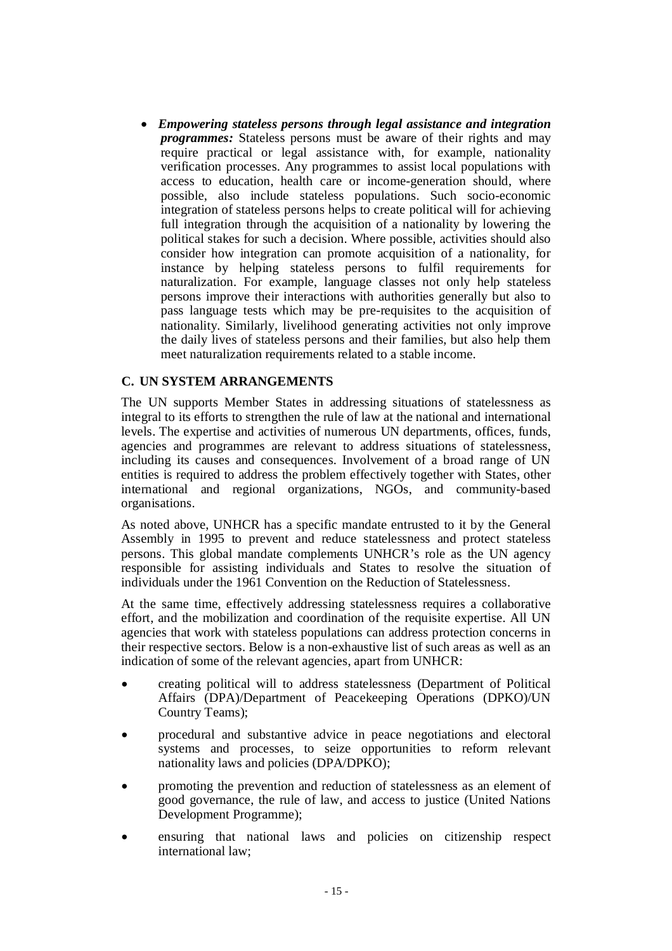*Empowering stateless persons through legal assistance and integration programmes:* Stateless persons must be aware of their rights and may require practical or legal assistance with, for example, nationality verification processes. Any programmes to assist local populations with access to education, health care or income-generation should, where possible, also include stateless populations. Such socio-economic integration of stateless persons helps to create political will for achieving full integration through the acquisition of a nationality by lowering the political stakes for such a decision. Where possible, activities should also consider how integration can promote acquisition of a nationality, for instance by helping stateless persons to fulfil requirements for naturalization. For example, language classes not only help stateless persons improve their interactions with authorities generally but also to pass language tests which may be pre-requisites to the acquisition of nationality. Similarly, livelihood generating activities not only improve the daily lives of stateless persons and their families, but also help them meet naturalization requirements related to a stable income.

### **C. UN SYSTEM ARRANGEMENTS**

The UN supports Member States in addressing situations of statelessness as integral to its efforts to strengthen the rule of law at the national and international levels. The expertise and activities of numerous UN departments, offices, funds, agencies and programmes are relevant to address situations of statelessness, including its causes and consequences. Involvement of a broad range of UN entities is required to address the problem effectively together with States, other international and regional organizations, NGOs, and community-based organisations.

As noted above, UNHCR has a specific mandate entrusted to it by the General Assembly in 1995 to prevent and reduce statelessness and protect stateless persons. This global mandate complements UNHCR's role as the UN agency responsible for assisting individuals and States to resolve the situation of individuals under the 1961 Convention on the Reduction of Statelessness.

At the same time, effectively addressing statelessness requires a collaborative effort, and the mobilization and coordination of the requisite expertise. All UN agencies that work with stateless populations can address protection concerns in their respective sectors. Below is a non-exhaustive list of such areas as well as an indication of some of the relevant agencies, apart from UNHCR:

- creating political will to address statelessness (Department of Political Affairs (DPA)/Department of Peacekeeping Operations (DPKO)/UN Country Teams);
- procedural and substantive advice in peace negotiations and electoral systems and processes, to seize opportunities to reform relevant nationality laws and policies (DPA/DPKO);
- promoting the prevention and reduction of statelessness as an element of good governance, the rule of law, and access to justice (United Nations Development Programme);
- ensuring that national laws and policies on citizenship respect international law;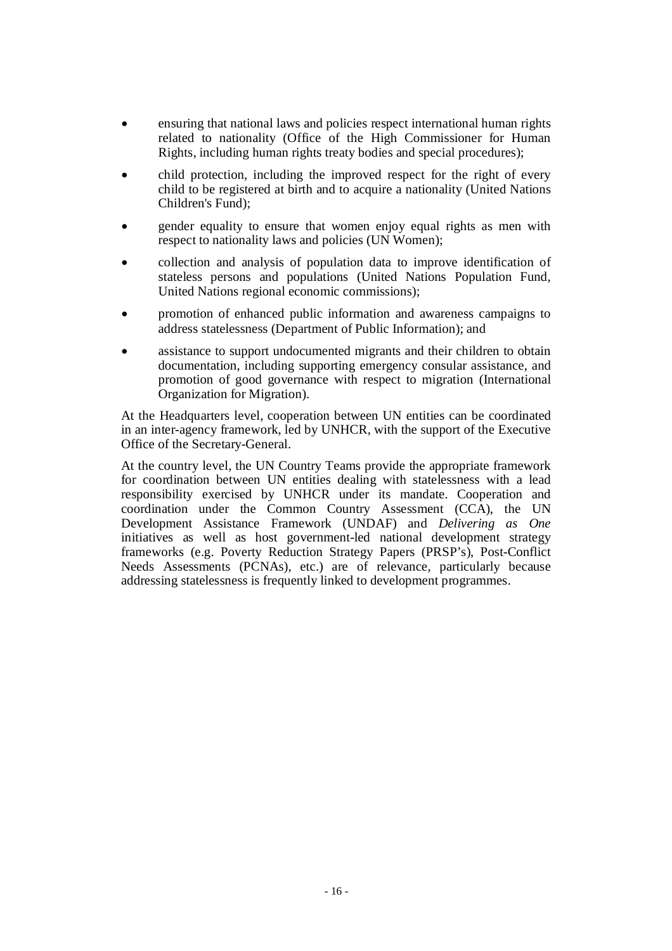- ensuring that national laws and policies respect international human rights related to nationality (Office of the High Commissioner for Human Rights, including human rights treaty bodies and special procedures);
- child protection, including the improved respect for the right of every child to be registered at birth and to acquire a nationality (United Nations Children's Fund);
- gender equality to ensure that women enjoy equal rights as men with respect to nationality laws and policies (UN Women);
- collection and analysis of population data to improve identification of stateless persons and populations (United Nations Population Fund, United Nations regional economic commissions);
- promotion of enhanced public information and awareness campaigns to address statelessness (Department of Public Information); and
- assistance to support undocumented migrants and their children to obtain documentation, including supporting emergency consular assistance, and promotion of good governance with respect to migration (International Organization for Migration).

At the Headquarters level, cooperation between UN entities can be coordinated in an inter-agency framework, led by UNHCR, with the support of the Executive Office of the Secretary-General.

At the country level, the UN Country Teams provide the appropriate framework for coordination between UN entities dealing with statelessness with a lead responsibility exercised by UNHCR under its mandate. Cooperation and coordination under the Common Country Assessment (CCA), the UN Development Assistance Framework (UNDAF) and *Delivering as One* initiatives as well as host government-led national development strategy frameworks (e.g. Poverty Reduction Strategy Papers (PRSP's), Post-Conflict Needs Assessments (PCNAs), etc.) are of relevance, particularly because addressing statelessness is frequently linked to development programmes.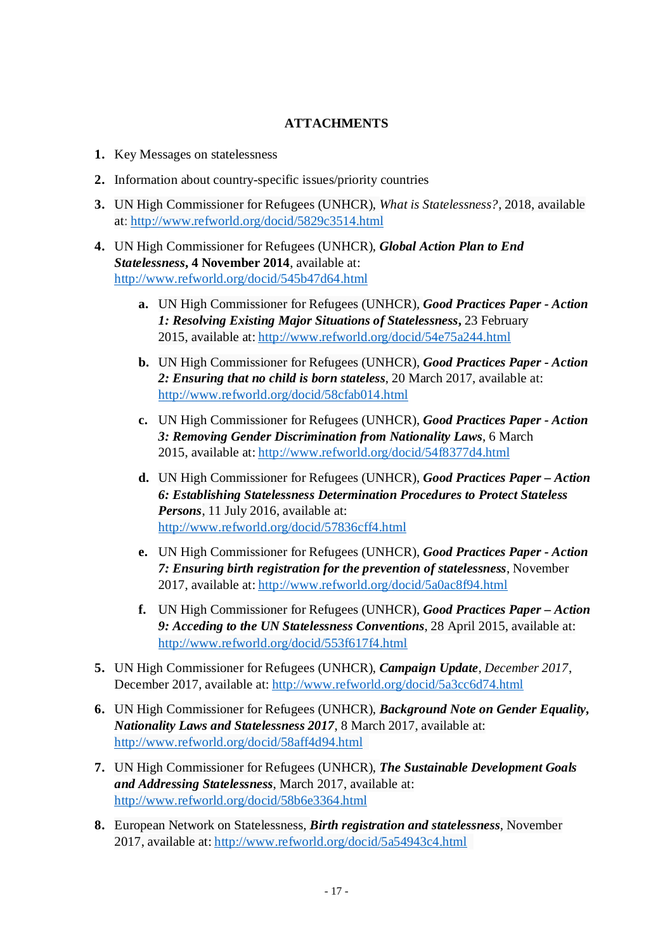# **ATTACHMENTS**

- **1.** Key Messages on statelessness
- **2.** Information about country-specific issues/priority countries
- **3.** UN High Commissioner for Refugees (UNHCR), *What is Statelessness?*, 2018, available at: <http://www.refworld.org/docid/5829c3514.html>
- **4.** UN High Commissioner for Refugees (UNHCR), *Global Action Plan to End Statelessness***, 4 November 2014**, available at: <http://www.refworld.org/docid/545b47d64.html>
	- **a.** UN High Commissioner for Refugees (UNHCR), *Good Practices Paper - Action 1: Resolving Existing Major Situations of Statelessness***,** 23 February 2015, available at: <http://www.refworld.org/docid/54e75a244.html>
	- **b.** UN High Commissioner for Refugees (UNHCR), *Good Practices Paper - Action 2: Ensuring that no child is born stateless*, 20 March 2017, available at: <http://www.refworld.org/docid/58cfab014.html>
	- **c.** UN High Commissioner for Refugees (UNHCR), *Good Practices Paper - Action 3: Removing Gender Discrimination from Nationality Laws*, 6 March 2015, available at: <http://www.refworld.org/docid/54f8377d4.html>
	- **d.** UN High Commissioner for Refugees (UNHCR), *Good Practices Paper – Action 6: Establishing Statelessness Determination Procedures to Protect Stateless Persons*, 11 July 2016, available at: <http://www.refworld.org/docid/57836cff4.html>
	- **e.** UN High Commissioner for Refugees (UNHCR), *Good Practices Paper - Action 7: Ensuring birth registration for the prevention of statelessness*, November 2017, available at: <http://www.refworld.org/docid/5a0ac8f94.html>
	- **f.** UN High Commissioner for Refugees (UNHCR), *Good Practices Paper – Action 9: Acceding to the UN Statelessness Conventions*, 28 April 2015, available at: <http://www.refworld.org/docid/553f617f4.html>
- **5.** UN High Commissioner for Refugees (UNHCR), *Campaign Update, December 2017*, December 2017, available at: <http://www.refworld.org/docid/5a3cc6d74.html>
- **6.** UN High Commissioner for Refugees (UNHCR), *Background Note on Gender Equality, Nationality Laws and Statelessness 2017*, 8 March 2017, available at: <http://www.refworld.org/docid/58aff4d94.html>
- **7.** UN High Commissioner for Refugees (UNHCR), *The Sustainable Development Goals and Addressing Statelessness*, March 2017, available at: <http://www.refworld.org/docid/58b6e3364.html>
- **8.** European Network on Statelessness, *Birth registration and statelessness*, November 2017, available at:<http://www.refworld.org/docid/5a54943c4.html>